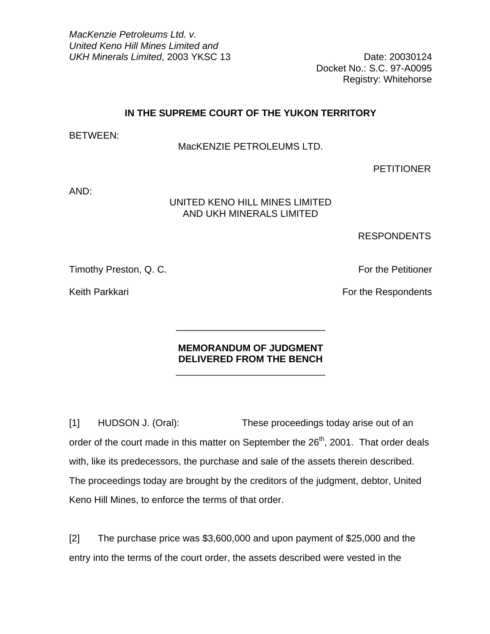*MacKenzie Petroleums Ltd. v. United Keno Hill Mines Limited and*  UKH Minerals Limited, 2003 YKSC 13 Date: 20030124

Docket No.: S.C. 97-A0095 Registry: Whitehorse

## **IN THE SUPREME COURT OF THE YUKON TERRITORY**

BETWEEN:

## MacKENZIE PETROLEUMS LTD.

PETITIONER

AND:

# UNITED KENO HILL MINES LIMITED AND UKH MINERALS LIMITED

RESPONDENTS

Timothy Preston, Q. C. The Petitioner Control of the Petitioner Control of the Petitioner

Keith Parkkari **For the Respondents** 

# **MEMORANDUM OF JUDGMENT DELIVERED FROM THE BENCH**

 $\frac{1}{\sqrt{2}}$  ,  $\frac{1}{\sqrt{2}}$  ,  $\frac{1}{\sqrt{2}}$  ,  $\frac{1}{\sqrt{2}}$  ,  $\frac{1}{\sqrt{2}}$  ,  $\frac{1}{\sqrt{2}}$  ,  $\frac{1}{\sqrt{2}}$  ,  $\frac{1}{\sqrt{2}}$  ,  $\frac{1}{\sqrt{2}}$  ,  $\frac{1}{\sqrt{2}}$  ,  $\frac{1}{\sqrt{2}}$  ,  $\frac{1}{\sqrt{2}}$  ,  $\frac{1}{\sqrt{2}}$  ,  $\frac{1}{\sqrt{2}}$  ,  $\frac{1}{\sqrt{2}}$ 

 $\frac{1}{\sqrt{2}}$  ,  $\frac{1}{\sqrt{2}}$  ,  $\frac{1}{\sqrt{2}}$  ,  $\frac{1}{\sqrt{2}}$  ,  $\frac{1}{\sqrt{2}}$  ,  $\frac{1}{\sqrt{2}}$  ,  $\frac{1}{\sqrt{2}}$  ,  $\frac{1}{\sqrt{2}}$  ,  $\frac{1}{\sqrt{2}}$  ,  $\frac{1}{\sqrt{2}}$  ,  $\frac{1}{\sqrt{2}}$  ,  $\frac{1}{\sqrt{2}}$  ,  $\frac{1}{\sqrt{2}}$  ,  $\frac{1}{\sqrt{2}}$  ,  $\frac{1}{\sqrt{2}}$ 

[1] HUDSON J. (Oral): These proceedings today arise out of an order of the court made in this matter on September the 26<sup>th</sup>, 2001. That order deals with, like its predecessors, the purchase and sale of the assets therein described. The proceedings today are brought by the creditors of the judgment, debtor, United Keno Hill Mines, to enforce the terms of that order.

[2] The purchase price was \$3,600,000 and upon payment of \$25,000 and the entry into the terms of the court order, the assets described were vested in the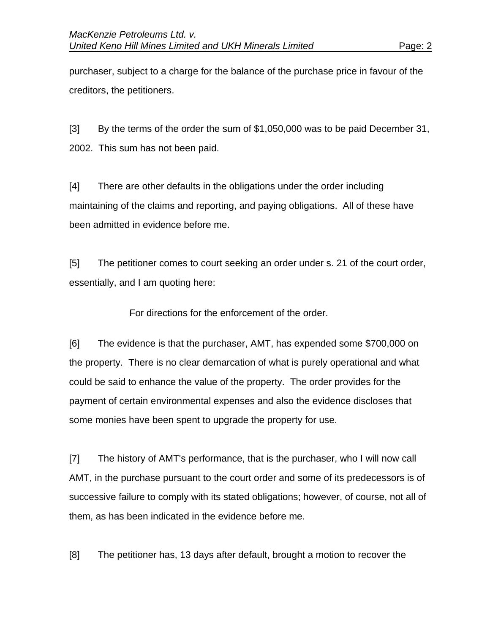purchaser, subject to a charge for the balance of the purchase price in favour of the creditors, the petitioners.

[3] By the terms of the order the sum of \$1,050,000 was to be paid December 31, 2002. This sum has not been paid.

[4] There are other defaults in the obligations under the order including maintaining of the claims and reporting, and paying obligations. All of these have been admitted in evidence before me.

[5] The petitioner comes to court seeking an order under s. 21 of the court order, essentially, and I am quoting here:

For directions for the enforcement of the order.

[6] The evidence is that the purchaser, AMT, has expended some \$700,000 on the property. There is no clear demarcation of what is purely operational and what could be said to enhance the value of the property. The order provides for the payment of certain environmental expenses and also the evidence discloses that some monies have been spent to upgrade the property for use.

[7] The history of AMT's performance, that is the purchaser, who I will now call AMT, in the purchase pursuant to the court order and some of its predecessors is of successive failure to comply with its stated obligations; however, of course, not all of them, as has been indicated in the evidence before me.

[8] The petitioner has, 13 days after default, brought a motion to recover the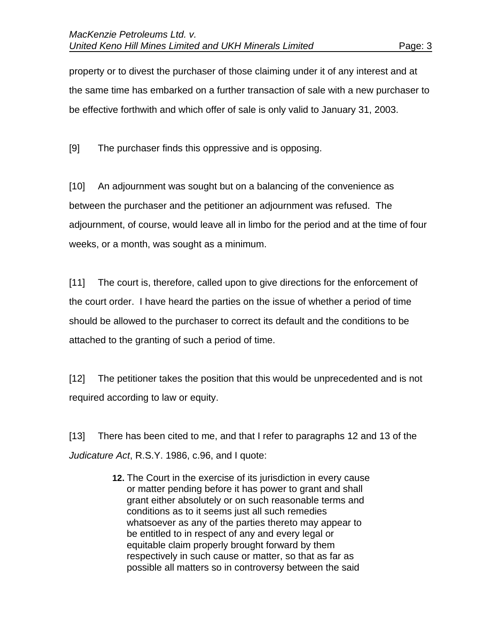property or to divest the purchaser of those claiming under it of any interest and at the same time has embarked on a further transaction of sale with a new purchaser to be effective forthwith and which offer of sale is only valid to January 31, 2003.

[9] The purchaser finds this oppressive and is opposing.

[10] An adjournment was sought but on a balancing of the convenience as between the purchaser and the petitioner an adjournment was refused. The adjournment, of course, would leave all in limbo for the period and at the time of four weeks, or a month, was sought as a minimum.

[11] The court is, therefore, called upon to give directions for the enforcement of the court order. I have heard the parties on the issue of whether a period of time should be allowed to the purchaser to correct its default and the conditions to be attached to the granting of such a period of time.

[12] The petitioner takes the position that this would be unprecedented and is not required according to law or equity.

[13] There has been cited to me, and that I refer to paragraphs 12 and 13 of the *Judicature Act*, R.S.Y. 1986, c.96, and I quote:

> **12.** The Court in the exercise of its jurisdiction in every cause or matter pending before it has power to grant and shall grant either absolutely or on such reasonable terms and conditions as to it seems just all such remedies whatsoever as any of the parties thereto may appear to be entitled to in respect of any and every legal or equitable claim properly brought forward by them respectively in such cause or matter, so that as far as possible all matters so in controversy between the said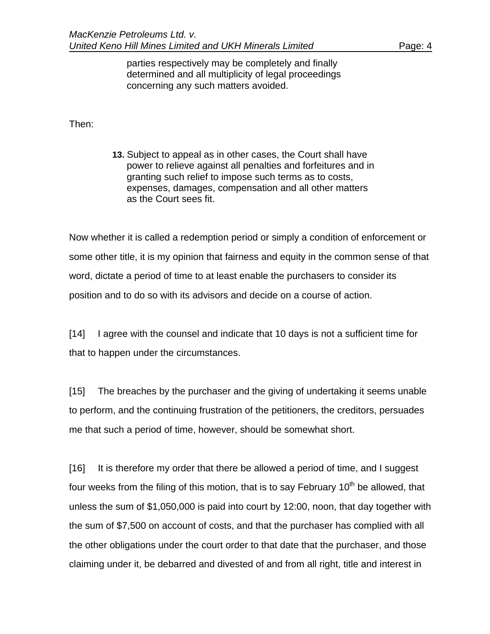parties respectively may be completely and finally determined and all multiplicity of legal proceedings concerning any such matters avoided.

Then:

**13.** Subject to appeal as in other cases, the Court shall have power to relieve against all penalties and forfeitures and in granting such relief to impose such terms as to costs, expenses, damages, compensation and all other matters as the Court sees fit.

Now whether it is called a redemption period or simply a condition of enforcement or some other title, it is my opinion that fairness and equity in the common sense of that word, dictate a period of time to at least enable the purchasers to consider its position and to do so with its advisors and decide on a course of action.

[14] I agree with the counsel and indicate that 10 days is not a sufficient time for that to happen under the circumstances.

[15] The breaches by the purchaser and the giving of undertaking it seems unable to perform, and the continuing frustration of the petitioners, the creditors, persuades me that such a period of time, however, should be somewhat short.

[16] It is therefore my order that there be allowed a period of time, and I suggest four weeks from the filing of this motion, that is to say February  $10<sup>th</sup>$  be allowed, that unless the sum of \$1,050,000 is paid into court by 12:00, noon, that day together with the sum of \$7,500 on account of costs, and that the purchaser has complied with all the other obligations under the court order to that date that the purchaser, and those claiming under it, be debarred and divested of and from all right, title and interest in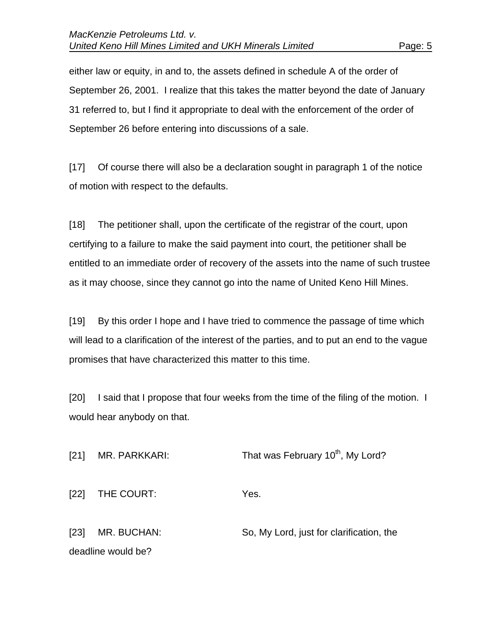either law or equity, in and to, the assets defined in schedule A of the order of September 26, 2001. I realize that this takes the matter beyond the date of January 31 referred to, but I find it appropriate to deal with the enforcement of the order of September 26 before entering into discussions of a sale.

[17] Of course there will also be a declaration sought in paragraph 1 of the notice of motion with respect to the defaults.

[18] The petitioner shall, upon the certificate of the registrar of the court, upon certifying to a failure to make the said payment into court, the petitioner shall be entitled to an immediate order of recovery of the assets into the name of such trustee as it may choose, since they cannot go into the name of United Keno Hill Mines.

[19] By this order I hope and I have tried to commence the passage of time which will lead to a clarification of the interest of the parties, and to put an end to the vague promises that have characterized this matter to this time.

[20] I said that I propose that four weeks from the time of the filing of the motion. I would hear anybody on that.

| [21]               | MR. PARKKARI: | That was February 10 <sup>th</sup> , My Lord? |  |
|--------------------|---------------|-----------------------------------------------|--|
| [22]               | THE COURT:    | Yes.                                          |  |
| [23]               | MR. BUCHAN:   | So, My Lord, just for clarification, the      |  |
| deadline would be? |               |                                               |  |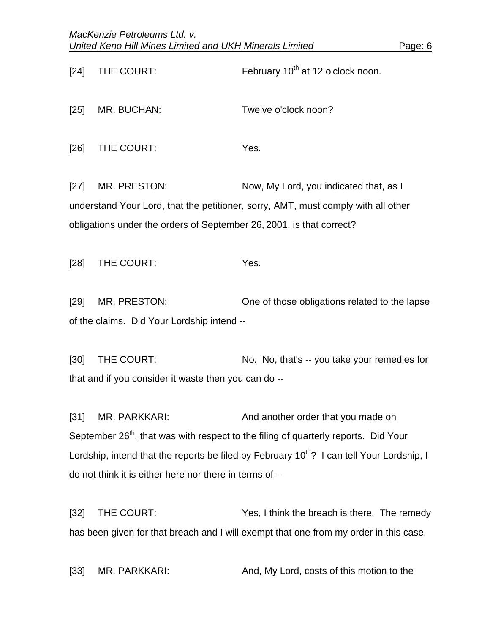| $[24]$                                                                                          | THE COURT:                                                                                            | February 10 <sup>th</sup> at 12 o'clock noon. |  |  |
|-------------------------------------------------------------------------------------------------|-------------------------------------------------------------------------------------------------------|-----------------------------------------------|--|--|
| $[25]$                                                                                          | MR. BUCHAN:                                                                                           | Twelve o'clock noon?                          |  |  |
| [26]                                                                                            | THE COURT:                                                                                            | Yes.                                          |  |  |
| $[27]$                                                                                          | MR. PRESTON:                                                                                          | Now, My Lord, you indicated that, as I        |  |  |
| understand Your Lord, that the petitioner, sorry, AMT, must comply with all other               |                                                                                                       |                                               |  |  |
| obligations under the orders of September 26, 2001, is that correct?                            |                                                                                                       |                                               |  |  |
|                                                                                                 |                                                                                                       |                                               |  |  |
| $[28]$                                                                                          | THE COURT:                                                                                            | Yes.                                          |  |  |
|                                                                                                 |                                                                                                       |                                               |  |  |
| $[29]$                                                                                          | MR. PRESTON:                                                                                          | One of those obligations related to the lapse |  |  |
| of the claims. Did Your Lordship intend --                                                      |                                                                                                       |                                               |  |  |
|                                                                                                 |                                                                                                       |                                               |  |  |
| $[30]$                                                                                          | THE COURT:                                                                                            | No. No, that's -- you take your remedies for  |  |  |
| that and if you consider it waste then you can do --                                            |                                                                                                       |                                               |  |  |
|                                                                                                 |                                                                                                       |                                               |  |  |
| $[31]$                                                                                          | MR. PARKKARI:                                                                                         | And another order that you made on            |  |  |
| September 26 <sup>th</sup> , that was with respect to the filing of quarterly reports. Did Your |                                                                                                       |                                               |  |  |
|                                                                                                 | Lordship, intend that the reports be filed by February 10 <sup>th</sup> ? I can tell Your Lordship, I |                                               |  |  |

do not think it is either here nor there in terms of --

[32] THE COURT: Yes, I think the breach is there. The remedy has been given for that breach and I will exempt that one from my order in this case.

[33] MR. PARKKARI: And, My Lord, costs of this motion to the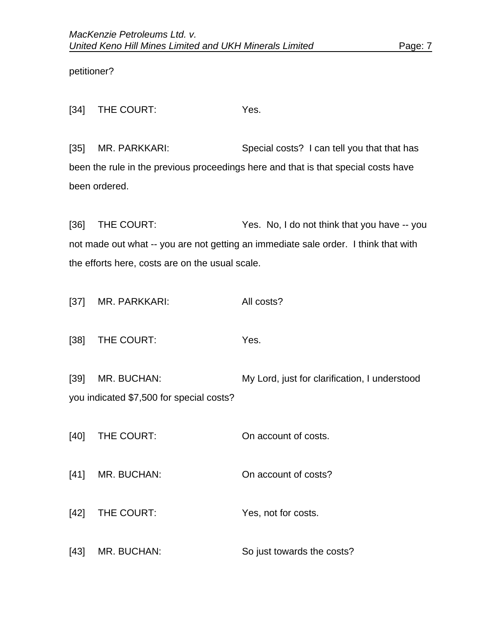petitioner?

[34] THE COURT: Yes.

[35] MR. PARKKARI: Special costs? I can tell you that that has been the rule in the previous proceedings here and that is that special costs have been ordered.

[36] THE COURT: Yes. No, I do not think that you have -- you not made out what -- you are not getting an immediate sale order. I think that with the efforts here, costs are on the usual scale.

[37] MR. PARKKARI: All costs?

[38] THE COURT: Yes.

[39] MR. BUCHAN: My Lord, just for clarification, I understood you indicated \$7,500 for special costs?

[40] THE COURT: On account of costs.

[41] MR. BUCHAN: On account of costs?

[42] THE COURT: Yes, not for costs.

[43] MR. BUCHAN: So just towards the costs?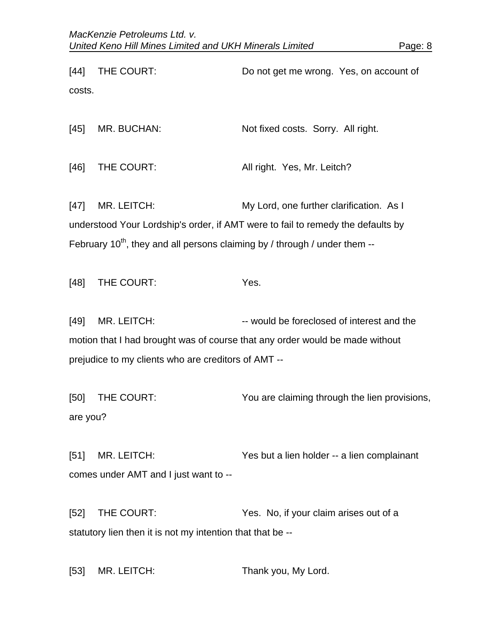[44] THE COURT: Do not get me wrong. Yes, on account of costs.

[45] MR. BUCHAN: Not fixed costs. Sorry. All right.

[46] THE COURT: All right. Yes, Mr. Leitch?

[47] MR. LEITCH: My Lord, one further clarification. As I understood Your Lordship's order, if AMT were to fail to remedy the defaults by February  $10^{th}$ , they and all persons claiming by / through / under them --

[48] THE COURT: Yes.

[49] MR. LEITCH:  $\blacksquare$  -- would be foreclosed of interest and the motion that I had brought was of course that any order would be made without prejudice to my clients who are creditors of AMT --

[50] THE COURT: You are claiming through the lien provisions, are you?

[51] MR. LEITCH: Yes but a lien holder -- a lien complainant comes under AMT and I just want to --

[52] THE COURT: Yes. No, if your claim arises out of a statutory lien then it is not my intention that that be --

[53] MR. LEITCH: Thank you, My Lord.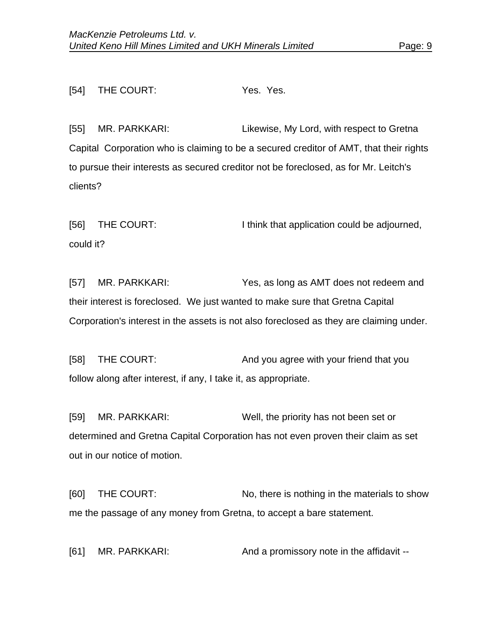## [54] THE COURT: Yes. Yes.

[55] MR. PARKKARI: Likewise, My Lord, with respect to Gretna Capital Corporation who is claiming to be a secured creditor of AMT, that their rights to pursue their interests as secured creditor not be foreclosed, as for Mr. Leitch's clients?

[56] THE COURT: I think that application could be adjourned, could it?

[57] MR. PARKKARI: Yes, as long as AMT does not redeem and their interest is foreclosed. We just wanted to make sure that Gretna Capital Corporation's interest in the assets is not also foreclosed as they are claiming under.

[58] THE COURT: And you agree with your friend that you follow along after interest, if any, I take it, as appropriate.

[59] MR. PARKKARI: Well, the priority has not been set or determined and Gretna Capital Corporation has not even proven their claim as set out in our notice of motion.

[60] THE COURT: No, there is nothing in the materials to show me the passage of any money from Gretna, to accept a bare statement.

[61] MR. PARKKARI: And a promissory note in the affidavit --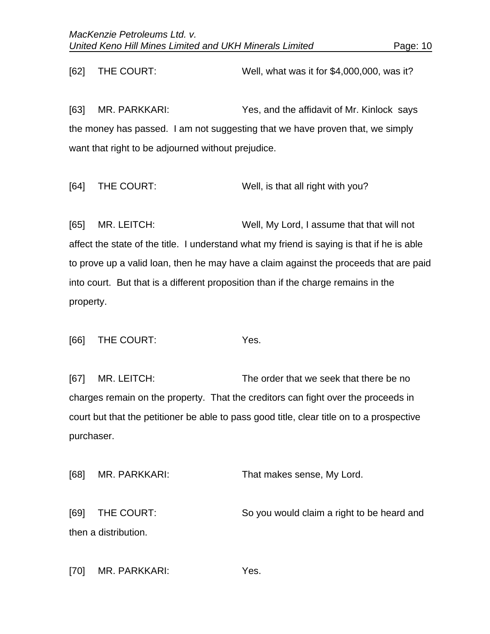[62] THE COURT: Well, what was it for \$4,000,000, was it?

[63] MR. PARKKARI: Yes, and the affidavit of Mr. Kinlock says the money has passed. I am not suggesting that we have proven that, we simply want that right to be adjourned without prejudice.

[64] THE COURT: Well, is that all right with you?

[65] MR. LEITCH: Well, My Lord, I assume that that will not affect the state of the title. I understand what my friend is saying is that if he is able to prove up a valid loan, then he may have a claim against the proceeds that are paid into court. But that is a different proposition than if the charge remains in the property.

[66] THE COURT: Yes.

[67] MR. LEITCH: The order that we seek that there be no charges remain on the property. That the creditors can fight over the proceeds in court but that the petitioner be able to pass good title, clear title on to a prospective purchaser.

[68] MR. PARKKARI: That makes sense, My Lord. [69] THE COURT: So you would claim a right to be heard and then a distribution.

[70] MR. PARKKARI: Yes.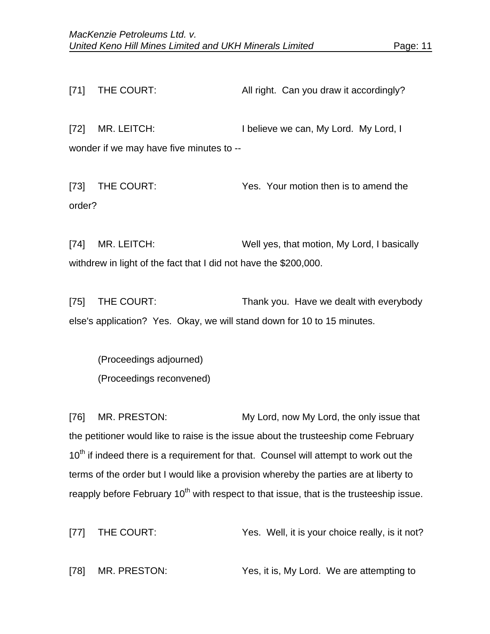[71] THE COURT: All right. Can you draw it accordingly? [72] MR. LEITCH: I believe we can, My Lord. My Lord, I wonder if we may have five minutes to --

[73] THE COURT: Yes. Your motion then is to amend the order?

[74] MR. LEITCH: Well yes, that motion, My Lord, I basically withdrew in light of the fact that I did not have the \$200,000.

[75] THE COURT: Thank you. Have we dealt with everybody else's application? Yes. Okay, we will stand down for 10 to 15 minutes.

 (Proceedings adjourned) (Proceedings reconvened)

[76] MR. PRESTON: My Lord, now My Lord, the only issue that the petitioner would like to raise is the issue about the trusteeship come February 10<sup>th</sup> if indeed there is a requirement for that. Counsel will attempt to work out the terms of the order but I would like a provision whereby the parties are at liberty to reapply before February  $10<sup>th</sup>$  with respect to that issue, that is the trusteeship issue.

[77] THE COURT: Yes. Well, it is your choice really, is it not?

[78] MR. PRESTON: Yes, it is, My Lord. We are attempting to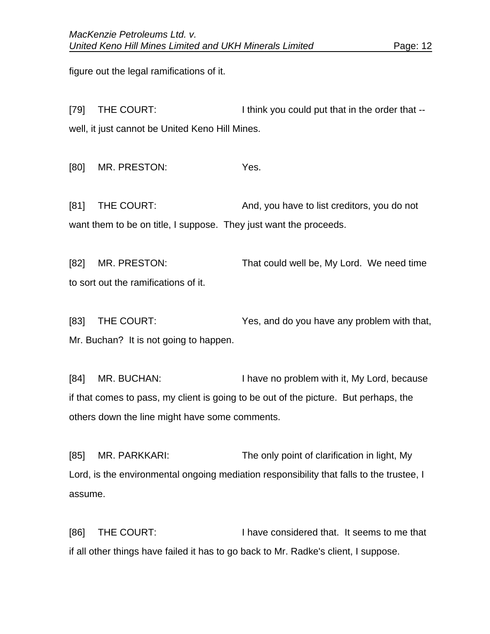figure out the legal ramifications of it.

[79] THE COURT: I think you could put that in the order that -well, it just cannot be United Keno Hill Mines.

[80] MR. PRESTON: Yes.

[81] THE COURT: And, you have to list creditors, you do not want them to be on title, I suppose. They just want the proceeds.

[82] MR. PRESTON: That could well be, My Lord. We need time to sort out the ramifications of it.

[83] THE COURT: Yes, and do you have any problem with that, Mr. Buchan? It is not going to happen.

[84] MR. BUCHAN: I have no problem with it, My Lord, because if that comes to pass, my client is going to be out of the picture. But perhaps, the others down the line might have some comments.

[85] MR. PARKKARI: The only point of clarification in light, My Lord, is the environmental ongoing mediation responsibility that falls to the trustee, I assume.

[86] THE COURT: I have considered that. It seems to me that if all other things have failed it has to go back to Mr. Radke's client, I suppose.